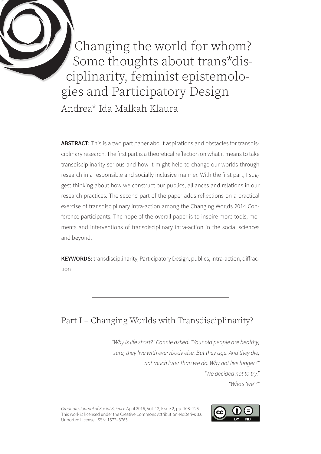Changing the world for whom? Some thoughts about trans\*disciplinarity, feminist epistemologies and Participatory Design

Andrea\* Ida Malkah Klaura

**ABSTRACT:** This is a two part paper about aspirations and obstacles for transdisciplinary research. The first part is a theoretical reflection on what it means to take transdisciplinarity serious and how it might help to change our worlds through research in a responsible and socially inclusive manner. With the first part, I suggest thinking about how we construct our publics, alliances and relations in our research practices. The second part of the paper adds reflections on a practical exercise of transdisciplinary intra-action among the Changing Worlds 2014 Conference participants. The hope of the overall paper is to inspire more tools, moments and interventions of transdisciplinary intra-action in the social sciences and beyond.

**KEYWORDS:** transdisciplinarity, Participatory Design, publics, intra-action, diffraction

# Part I – Changing Worlds with Transdisciplinarity?

*"Why is life short?" Connie asked. "Your old people are healthy, sure, they live with everybody else. But they age. And they die, not much later than we do. Why not live longer?" "We decided not to try."*

*"Who's 'we'?"*

*Graduate Journal of Social Science* April 2016, Vol. 12, Issue 2, pp. 108–126 This work is licensed under the Creative Commons Attribution-NoDerivs 3.0 Unported License. ISSN: 1572–3763

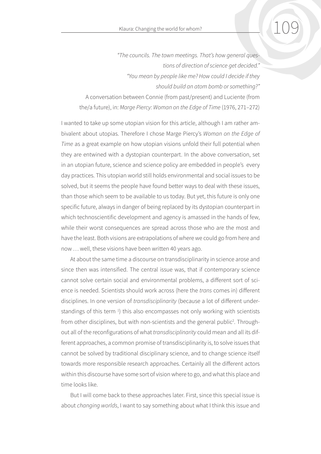*"The councils. The town meetings. That's how general questions of direction of science get decided." "You mean by people like me? How could I decide if they should build an atom bomb or something?"* A conversation between Connie (from past/present) and Luciente (from the/a future), in: *Marge Piercy: Woman on the Edge of Time* (1976, 271–272)

I wanted to take up some utopian vision for this article, although I am rather ambivalent about utopias. Therefore I chose Marge Piercy's *Woman on the Edge of Time* as a great example on how utopian visions unfold their full potential when they are entwined with a dystopian counterpart. In the above conversation, set in an utopian future, science and science policy are embedded in people's every day practices. This utopian world still holds environmental and social issues to be solved, but it seems the people have found better ways to deal with these issues, than those which seem to be available to us today. But yet, this future is only one specific future, always in danger of being replaced by its dystopian counterpart in which technoscientific development and agency is amassed in the hands of few, while their worst consequences are spread across those who are the most and have the least. Both visions are extrapolations of where we could go from here and now … well, these visions have been written 40 years ago.

At about the same time a discourse on transdisciplinarity in science arose and since then was intensified. The central issue was, that if contemporary science cannot solve certain social and environmental problems, a different sort of science is needed. Scientists should work across (here the *trans* comes in) different disciplines. In one version of *transdisciplinarity* (because a lot of different understandings of this term<sup>1</sup>) this also encompasses not only working with scientists from other disciplines, but with non-scientists and the general public<sup>2</sup>. Throughout all of the reconfigurations of what *transdisciplinarity* could mean and all its different approaches, a common promise of transdisciplinarity is, to solve issues that cannot be solved by traditional disciplinary science, and to change science itself towards more responsible research approaches. Certainly all the different actors within this discourse have some sort of vision where to go, and what this place and time looks like.

But I will come back to these approaches later. First, since this special issue is about *changing worlds*, I want to say something about what I think this issue and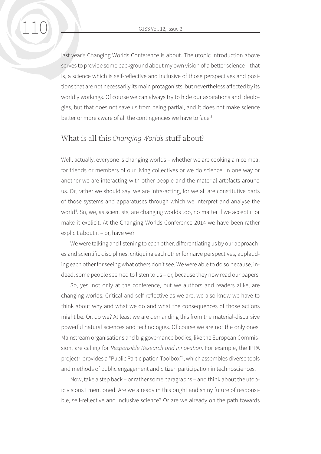last year's Changing Worlds Conference is about. The utopic introduction above serves to provide some background about my own vision of a better science – that is, a science which is self-reflective and inclusive of those perspectives and positions that are not necessarily its main protagonists, but nevertheless affected by its worldly workings. Of course we can always try to hide our aspirations and ideologies, but that does not save us from being partial, and it does not make science better or more aware of all the contingencies we have to face<sup>3</sup>.

#### What is all this *Changing Worlds* stuff about?

Well, actually, everyone is changing worlds – whether we are cooking a nice meal for friends or members of our living collectives or we do science. In one way or another we are interacting with other people and the material artefacts around us. Or, rather we should say, we are intra-acting, for we all are constitutive parts of those systems and apparatuses through which we interpret and analyse the world<sup>4</sup>. So, we, as scientists, are changing worlds too, no matter if we accept it or make it explicit. At the Changing Worlds Conference 2014 we have been rather explicit about it – or, have we?

We were talking and listening to each other, differentiating us by our approaches and scientific disciplines, critiquing each other for naïve perspectives, applauding each other for seeing what others don't see. We were able to do so because, indeed, some people seemed to listen to us – or, because they now read our papers.

So, yes, not only at the conference, but we authors and readers alike, are changing worlds. Critical and self-reflective as we are, we also know we have to think about why and what we do and what the consequences of those actions might be. Or, do we? At least we are demanding this from the material-discursive powerful natural sciences and technologies. Of course we are not the only ones. Mainstream organisations and big governance bodies, like the European Commission, are calling for *Responsible Research and Innovation*. For example, the IPPA project<sup>5</sup> provides a "Public Participation Toolbox"<sup>6</sup>, which assembles diverse tools and methods of public engagement and citizen participation in technosciences.

Now, take a step back – or rather some paragraphs – and think about the utopic visions I mentioned. Are we already in this bright and shiny future of responsible, self-reflective and inclusive science? Or are we already on the path towards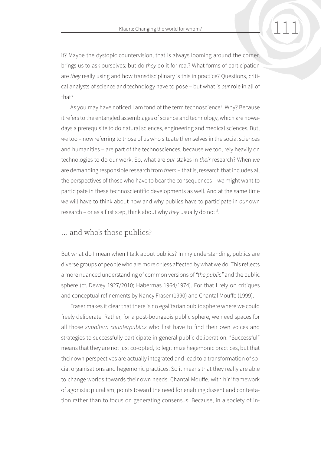it? Maybe the dystopic countervision, that is always looming around the corner, brings us to ask ourselves: but do *they* do it for real? What forms of participation are *they* really using and how transdisciplinary is this in practice? Questions, critical analysts of science and technology have to pose – but what is *our* role in all of that?

As you may have noticed I am fond of the term technoscience<sup>7</sup>. Why? Because it refers to the entangled assemblages of science and technology, which are nowadays a prerequisite to do natural sciences, engineering and medical sciences. But, *we* too – now referring to those of us who situate themselves in the social sciences and humanities – are part of the technosciences, because *we* too, rely heavily on technologies to do our work. So, what are *our* stakes in *their* research? When *we*  are demanding responsible research from *them* – that is, research that includes all the perspectives of those who have to bear the consequences – *we* might want to participate in these technoscientific developments as well. And at the same time *we* will have to think about how and why publics have to participate in *our* own research - or as a first step, think about why *they* usually do not <sup>8</sup>.

#### … and who's those publics?

But what do I mean when I talk about publics? In my understanding, publics are diverse groups of people who are more or less affected by what we do. This reflects a more nuanced understanding of common versions of *"the public"* and the public sphere (cf. Dewey 1927/2010; Habermas 1964/1974). For that I rely on critiques and conceptual refinements by Nancy Fraser (1990) and Chantal Mouffe (1999).

Fraser makes it clear that there is no egalitarian public sphere where we could freely deliberate. Rather, for a post-bourgeois public sphere, we need spaces for all those *subaltern counterpublics* who first have to find their own voices and strategies to successfully participate in general public deliberation. "Successful" means that they are not just co-opted, to legitimize hegemonic practices, but that their own perspectives are actually integrated and lead to a transformation of social organisations and hegemonic practices. So it means that they really are able to change worlds towards their own needs. Chantal Mouffe, with hir<sup>9</sup> framework of agonistic pluralism, points toward the need for enabling dissent and contestation rather than to focus on generating consensus. Because, in a society of in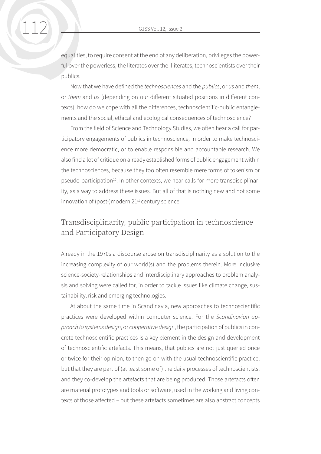equalities, to require consent at the end of any deliberation, privileges the powerful over the powerless, the literates over the illiterates, technoscientists over their publics.

Now that we have defined the *technosciences* and the *publics*, or *us* and *them*, or *them* and *us* (depending on our different situated positions in different contexts), how do we cope with all the differences, technoscientific-public entanglements and the social, ethical and ecological consequences of technoscience?

From the field of Science and Technology Studies, we often hear a call for participatory engagements of publics in technoscience, in order to make technoscience more democratic, or to enable responsible and accountable research. We also find a lot of critique on already established forms of public engagement within the technosciences, because they too often resemble mere forms of tokenism or pseudo-participation<sup>10</sup>. In other contexts, we hear calls for more transdisciplinarity, as a way to address these issues. But all of that is nothing new and not some innovation of (post-)modern 21<sup>st</sup> century science.

### Transdisciplinarity, public participation in technoscience and Participatory Design

Already in the 1970s a discourse arose on transdisciplinarity as a solution to the increasing complexity of our world(s) and the problems therein. More inclusive science-society-relationships and interdisciplinary approaches to problem analysis and solving were called for, in order to tackle issues like climate change, sustainability, risk and emerging technologies.

At about the same time in Scandinavia, new approaches to technoscientific practices were developed within computer science. For the *Scandinavian approach to systems design*, or *cooperative design*, the participation of publics in concrete technoscientific practices is a key element in the design and development of technoscientific artefacts. This means, that publics are not just queried once or twice for their opinion, to then go on with the usual technoscientific practice, but that they are part of (at least some of) the daily processes of technoscientists, and they co-develop the artefacts that are being produced. Those artefacts often are material prototypes and tools or software, used in the working and living contexts of those affected – but these artefacts sometimes are also abstract concepts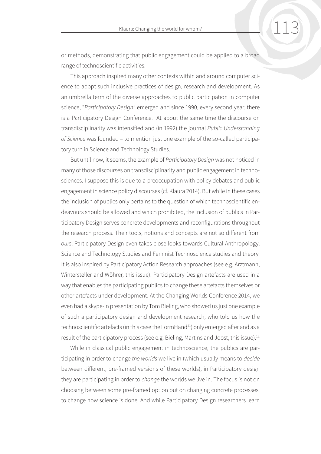or methods, demonstrating that public engagement could be applied to a broad range of technoscientific activities.

This approach inspired many other contexts within and around computer science to adopt such inclusive practices of design, research and development. As an umbrella term of the diverse approaches to public participation in computer science, "*Participatory Design*" emerged and since 1990, every second year, there is a Participatory Design Conference. At about the same time the discourse on transdisciplinarity was intensified and (in 1992) the journal *Public Understanding of Science* was founded – to mention just one example of the so-called participatory turn in Science and Technology Studies.

But until now, it seems, the example of *Participatory Design* was not noticed in many of those discourses on transdisciplinarity and public engagement in technosciences. I suppose this is due to a preoccupation with policy debates and public engagement in science policy discourses (cf. Klaura 2014). But while in these cases the inclusion of publics only pertains to the question of which technoscientific endeavours should be allowed and which prohibited, the inclusion of publics in Participatory Design serves concrete developments and reconfigurations throughout the research process. Their tools, notions and concepts are not so different from *ours*. Participatory Design even takes close looks towards Cultural Anthropology, Science and Technology Studies and Feminist Technoscience studies and theory. It is also inspired by Participatory Action Research approaches (see e.g. Arztmann, Wintersteller and Wöhrer, this issue). Participatory Design artefacts are used in a way that enables the participating publics to change these artefacts themselves or other artefacts under development. At the Changing Worlds Conference 2014, we even had a skype-in presentation by Tom Bieling, who showed us just one example of such a participatory design and development research, who told us how the technoscientific artefacts (in this case the LormHand<sup>11</sup>) only emerged after and as a result of the participatory process (see e.g. Bieling, Martins and Joost, this issue).12

While in classical public engagement in technoscience, the publics are participating in order to change *the worlds* we live in (which usually means to *decide* between different, pre-framed versions of these worlds), in Participatory design they are participating in order to *change* the worlds we live in. The focus is not on choosing between some pre-framed option but on changing concrete processes, to change how science is done. And while Participatory Design researchers learn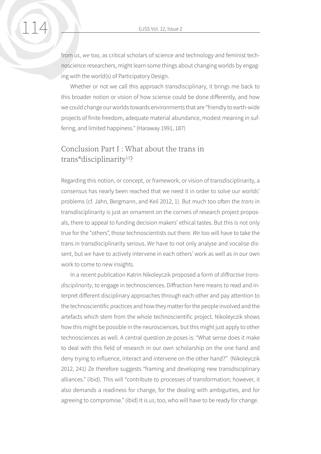from *us*, *we* too, as critical scholars of science and technology and feminist technoscience researchers, might learn some things about changing worlds by engaging with the world(s) of Participatory Design.

Whether or not we call this approach transdisciplinary, it brings me back to this broader notion or vision of how science could be done differently, and how we could change our worlds towards environments that are "friendly to earth-wide projects of finite freedom, adequate material abundance, modest meaning in suffering, and limited happiness." (Haraway 1991, 187)

### Conclusion Part  $I \cdot Wh$ at about the trans in trans\*disciplinarity<sup>13</sup>?

Regarding this notion, or concept, or framework, or vision of transdisciplinarity, a consensus has nearly been reached that we need it in order to solve our worlds' problems (cf. Jahn, Bergmann, and Keil 2012, 1). But much too often the *trans* in transdisciplinarity is just an ornament on the corners of research project proposals, there to appeal to funding decision makers' ethical tastes. But this is not only true for the "others", those technoscientists out there. *We* too will have to take the trans in transdisciplinarity serious. *We* have to not only analyse and vocalise dissent, but *we* have to actively intervene in each others' work as well as in our own work to come to new insights.

In a recent publication Katrin Nikoleyczik proposed a form of *diffractive transdisciplinarity*, to engage in technosciences. Diffraction here means to read and interpret different disciplinary approaches through each other and pay attention to the technoscientific practices and how they matter for the people involved and the artefacts which stem from the whole technoscientific project. Nikoleyczik shows how this might be possible in the neurosciences, but this might just apply to other technosciences as well. A central question ze poses is: "What sense does it make to deal with this field of research in our own scholarship on the one hand and deny trying to influence, interact and intervene on the other hand?" (Nikoleyczik 2012, 241) Ze therefore suggests "framing and developing new transdisciplinary alliances." (ibid). This will "contribute to processes of transformation; however, it also demands a readiness for change, for the dealing with ambiguities, and for agreeing to compromise." (ibid) It is *us*, too, who will have to be ready for change.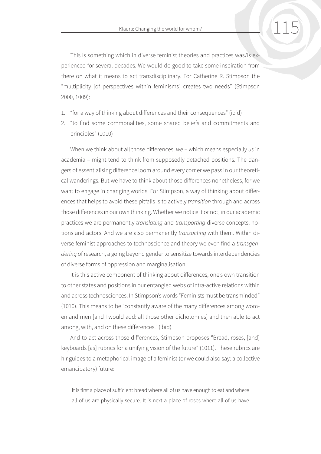This is something which in diverse feminist theories and practices was/is experienced for several decades. We would do good to take some inspiration from there on what it means to act transdisciplinary. For Catherine R. Stimpson the "multiplicity [of perspectives within feminisms] creates two needs" (Stimpson 2000, 1009):

- 1. "for a way of thinking about differences and their consequences" (ibid)
- 2. "to find some commonalities, some shared beliefs and commitments and principles" (1010)

When we think about all those differences, *we* – which means especially *us* in academia – might tend to think from supposedly detached positions. The dangers of essentialising difference loom around every corner we pass in our theoretical wanderings. But we have to think about those differences nonetheless, for we want to engage in changing worlds. For Stimpson, a way of thinking about differences that helps to avoid these pitfalls is to actively *transition* through and across those differences in our own thinking. Whether we notice it or not, in our academic practices we are permanently *translating* and *transporting* diverse concepts, notions and actors. And we are also permanently *transacting* with them. Within diverse feminist approaches to technoscience and theory we even find a *transgendering* of research, a going beyond gender to sensitize towards interdependencies of diverse forms of oppression and marginalisation.

It is this active component of thinking about differences, one's own transition to other states and positions in our entangled webs of intra-active relations within and across technosciences. In Stimpson's words "Feminists must be transminded" (1010). This means to be "constantly aware of the many differences among women and men [and I would add: all those other dichotomies] and then able to act among, with, and on these differences." (ibid)

And to act across those differences, Stimpson proposes "Bread, roses, [and] keyboards [as] rubrics for a unifying vision of the future" (1011). These rubrics are hir guides to a metaphorical image of a feminist (or we could also say: a collective emancipatory) future:

It is first a place of sufficient bread where all of us have enough to eat and where all of us are physically secure. It is next a place of roses where all of us have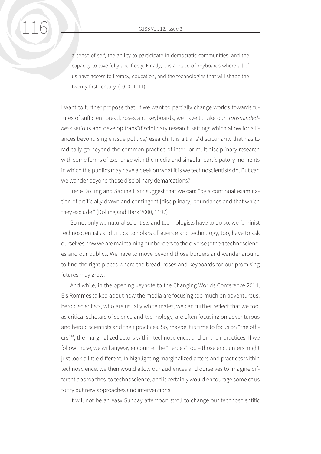a sense of self, the ability to participate in democratic communities, and the capacity to love fully and freely. Finally, it is a place of keyboards where all of us have access to literacy, education, and the technologies that will shape the twenty-first century. (1010–1011)

I want to further propose that, if we want to partially change worlds towards futures of sufficient bread, roses and keyboards, we have to take our *transmindedness* serious and develop trans\*disciplinary research settings which allow for alliances beyond single issue politics/research. It is a trans\*disciplinarity that has to radically go beyond the common practice of inter- or multidisciplinary research with some forms of exchange with the media and singular participatory moments in which the publics may have a peek on what it is we technoscientists do. But can we wander beyond those disciplinary demarcations?

Irene Dölling and Sabine Hark suggest that we can: "by a continual examination of artificially drawn and contingent [disciplinary] boundaries and that which they exclude." (Dölling and Hark 2000, 1197)

So not only we natural scientists and technologists have to do so, we feminist technoscientists and critical scholars of science and technology, too, have to ask ourselves how we are maintaining our borders to the diverse (other) technosciences and our publics. We have to move beyond those borders and wander around to find the right places where the bread, roses and keyboards for our promising futures may grow.

And while, in the opening keynote to the Changing Worlds Conference 2014, Els Rommes talked about how the media are focusing too much on adventurous, heroic scientists, who are usually white males, we can further reflect that we too, as critical scholars of science and technology, are often focusing on adventurous and heroic scientists and their practices. So, maybe it is time to focus on "the others"<sup>14</sup>, the marginalized actors within technoscience, and on their practices. If we follow those, we will anyway encounter the "heroes" too – those encounters might just look a little different. In highlighting marginalized actors and practices within technoscience, we then would allow our audiences and ourselves to imagine different approaches to technoscience, and it certainly would encourage some of us to try out new approaches and interventions.

It will not be an easy Sunday afternoon stroll to change our technoscientific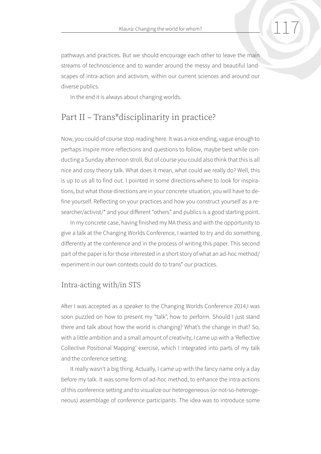pathways and practices. But we should encourage each other to leave the main streams of technoscience and to wander around the messy and beautiful landscapes of intra-action and activism, within our current sciences and around our diverse publics.

In the end it is always about changing worlds.

# Part II – Trans\*disciplinarity in practice?

Now, you could of course stop reading here. It was a nice ending, vague enough to perhaps inspire more reflections and questions to follow, maybe best while conducting a Sunday afternoon stroll. But of course you could also think that this is all nice and cosy theory talk. What does it mean, what could we really do? Well, this is up to us all to find out. I pointed in some directions where to look for inspirations, but what those directions are in your concrete situation, you will have to define yourself. Reflecting on your practices and how you construct yourself as a researcher/activist/\* and your different "others" and publics is a good starting point.

In my concrete case, having finished my MA thesis and with the opportunity to give a talk at the Changing Worlds Conference, I wanted to try and do something differently at the conference and in the process of writing this paper. This second part of the paper is for those interested in a short story of what an ad-hoc method/ experiment in our own contexts could do to trans\* our practices.

#### Intra-acting with/in STS

After I was accepted as a speaker to the Changing Worlds Conference 2014,I was soon puzzled on how to present my "talk", how to perform. Should I just stand there and talk about how the world is changing? What's the change in that? So, with a little ambition and a small amount of creativity, I came up with a 'Reflective Collective Positional Mapping' exercise, which I integrated into parts of my talk and the conference setting.

It really wasn't a big thing. Actually, I came up with the fancy name only a day before my talk. It was some form of ad-hoc method, to enhance the intra-actions of this conference setting and to visualize our heterogeneous (or not-so-heterogeneous) assemblage of conference participants. The idea was to introduce some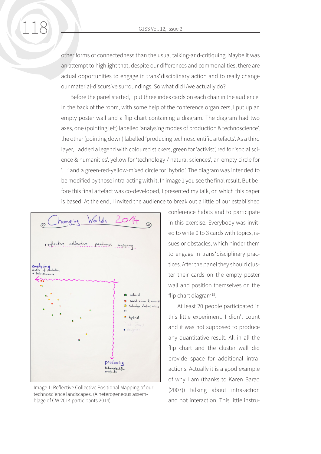other forms of connectedness than the usual talking-and-critiquing. Maybe it was an attempt to highlight that, despite our differences and commonalities, there are actual opportunities to engage in trans\*disciplinary action and to really change our material-discursive surroundings. So what did I/we actually do?

Before the panel started, I put three index cards on each chair in the audience. In the back of the room, with some help of the conference organizers, I put up an empty poster wall and a flip chart containing a diagram. The diagram had two axes, one (pointing left) labelled 'analysing modes of production & technoscience', the other (pointing down) labelled 'producing technoscientific artefacts'. As a third layer, I added a legend with coloured stickers, green for 'activist', red for 'social science & humanities', yellow for 'technology / natural sciences', an empty circle for '…' and a green-red-yellow-mixed circle for 'hybrid'. The diagram was intended to be modified by those intra-acting with it. In image 1 you see the final result. But before this final artefact was co-developed, I presented my talk, on which this paper is based. At the end, I invited the audience to break out a little of our established



Image 1: Reflective Collective Positional Mapping of our technoscience landscapes. (A heterogeneous assemblage of CW 2014 participants 2014)

conference habits and to participate in this exercise. Everybody was invited to write 0 to 3 cards with topics, issues or obstacles, which hinder them to engage in trans\*disciplinary practices. After the panel they should cluster their cards on the empty poster wall and position themselves on the flip chart diagram<sup>15</sup>.

At least 20 people participated in this little experiment. I didn't count and it was not supposed to produce any quantitative result. All in all the flip chart and the cluster wall did provide space for additional intraactions. Actually it is a good example of why I am (thanks to Karen Barad (2007)) talking about intra-action and not interaction. This little instru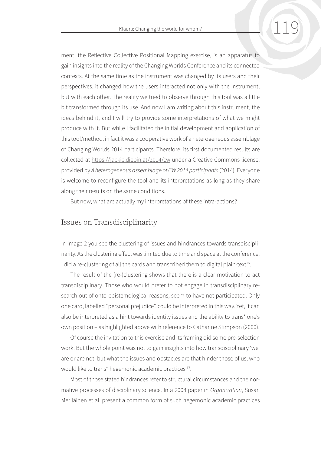ment, the Reflective Collective Positional Mapping exercise, is an apparatus to gain insights into the reality of the Changing Worlds Conference and its connected contexts. At the same time as the instrument was changed by its users and their perspectives, it changed how the users interacted not only with the instrument, but with each other. The reality we tried to observe through this tool was a little bit transformed through its use. And now I am writing about this instrument, the ideas behind it, and I will try to provide some interpretations of what we might produce with it. But while I facilitated the initial development and application of this tool/method, in fact it was a cooperative work of a heterogeneous assemblage of Changing Worlds 2014 participants. Therefore, its first documented results are collected at <https://jackie.diebin.at/2014/cw>under a Creative Commons license, provided by *A heterogeneous assemblage of CW 2014 participants* (2014). Everyone is welcome to reconfigure the tool and its interpretations as long as they share along their results on the same conditions.

But now, what are actually my interpretations of these intra-actions?

#### Issues on Transdisciplinarity

In image 2 you see the clustering of issues and hindrances towards transdisciplinarity. As the clustering effect was limited due to time and space at the conference, I did a re-clustering of all the cards and transcribed them to digital plain-text<sup>16</sup>.

The result of the (re-)clustering shows that there is a clear motivation to act transdisciplinary. Those who would prefer to not engage in transdisciplinary research out of onto-epistemological reasons, seem to have not participated. Only one card, labelled "personal prejudice", could be interpreted in this way. Yet, it can also be interpreted as a hint towards identity issues and the ability to trans\* one's own position – as highlighted above with reference to Catharine Stimpson (2000).

Of course the invitation to this exercise and its framing did some pre-selection work. But the whole point was not to gain insights into how transdisciplinary 'we' are or are not, but what the issues and obstacles are that hinder those of us, who would like to trans\* hegemonic academic practices 17.

Most of those stated hindrances refer to structural circumstances and the normative processes of disciplinary science. In a 2008 paper in *Organization*, Susan Meriläinen et al. present a common form of such hegemonic academic practices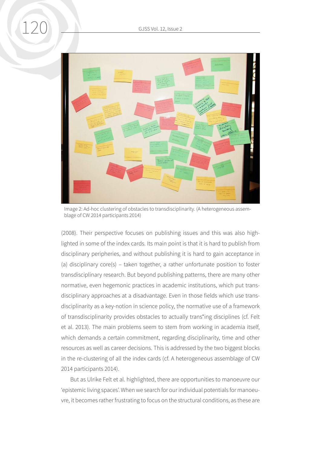

Image 2: Ad-hoc clustering of obstacles to transdisciplinarity. (A heterogeneous assemblage of CW 2014 participants 2014)

(2008). Their perspective focuses on publishing issues and this was also highlighted in some of the index cards. Its main point is that it is hard to publish from disciplinary peripheries, and without publishing it is hard to gain acceptance in (a) disciplinary core(s) – taken together, a rather unfortunate position to foster transdisciplinary research. But beyond publishing patterns, there are many other normative, even hegemonic practices in academic institutions, which put transdisciplinary approaches at a disadvantage. Even in those fields which use transdisciplinarity as a key-notion in science policy, the normative use of a framework of transdisciplinarity provides obstacles to actually trans\*ing disciplines (cf. Felt et al. 2013). The main problems seem to stem from working in academia itself, which demands a certain commitment, regarding disciplinarity, time and other resources as well as career decisions. This is addressed by the two biggest blocks in the re-clustering of all the index cards (cf. A heterogeneous assemblage of CW 2014 participants 2014).

But as Ulrike Felt et al. highlighted, there are opportunities to manoeuvre our 'epistemic living spaces'. When we search for our individual potentials for manoeuvre, it becomes rather frustrating to focus on the structural conditions, as these are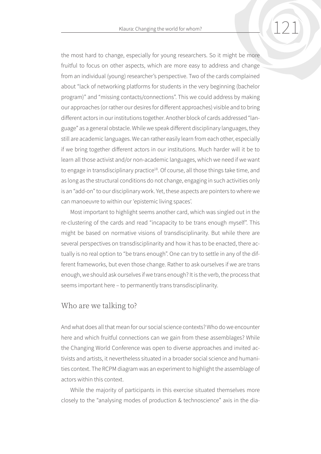the most hard to change, especially for young researchers. So it might be more fruitful to focus on other aspects, which are more easy to address and change from an individual (young) researcher's perspective. Two of the cards complained about "lack of networking platforms for students in the very beginning (bachelor program)" and "missing contacts/connections". This we could address by making our approaches (or rather our desires for different approaches) visible and to bring different actors in our institutions together. Another block of cards addressed "language" as a general obstacle. While we speak different disciplinary languages, they still are academic languages. We can rather easily learn from each other, especially if we bring together different actors in our institutions. Much harder will it be to learn all those activist and/or non-academic languages, which we need if we want to engage in transdisciplinary practice<sup>18</sup>. Of course, all those things take time, and as long as the structural conditions do not change, engaging in such activities only is an "add-on" to our disciplinary work. Yet, these aspects are pointers to where we can manoeuvre to within our 'epistemic living spaces'.

Most important to highlight seems another card, which was singled out in the re-clustering of the cards and read "incapacity to be trans enough myself". This might be based on normative visions of transdisciplinarity. But while there are several perspectives on transdisciplinarity and how it has to be enacted, there actually is no real option to "be trans enough". One can try to settle in any of the different frameworks, but even those change. Rather to ask ourselves if we are trans enough, we should ask ourselves if we trans enough? It is the verb, the process that seems important here – to permanently trans transdisciplinarity.

#### Who are we talking to?

And what does all that mean for our social science contexts? Who do we encounter here and which fruitful connections can we gain from these assemblages? While the Changing World Conference was open to diverse approaches and invited activists and artists, it nevertheless situated in a broader social science and humanities context. The RCPM diagram was an experiment to highlight the assemblage of actors within this context.

While the majority of participants in this exercise situated themselves more closely to the "analysing modes of production & technoscience" axis in the dia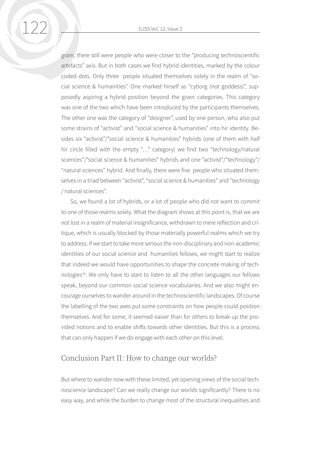gram, there still were people who were closer to the "producing technoscientific artefacts" axis. But in both cases we find hybrid identities, marked by the colour coded dots. Only three people situated themselves solely in the realm of "social science & humanities". One marked hirself as "cyborg (not goddess)", supposedly aspiring a hybrid position beyond the given categories. This category was one of the two which have been introduced by the participants themselves. The other one was the category of "designer", used by one person, who also put some strains of "activist" and "social science & humanities" into hir identity. Besides six "activist"/"social science & humanities" hybrids (one of them with half hir circle filled with the empty "..." category) we find two "technology/natural sciences"/"social science & humanities" hybrids and one "activist"/"technology"/ "natural sciences" hybrid. And finally, there were five people who situated themselves in a triad between "activist", "social science & humanities" and "technology / natural sciences".

So, we found a lot of hybrids, or a lot of people who did not want to commit to one of those realms solely. What the diagram shows at this point is, that we are not lost in a realm of material insignificance, withdrawn to mere reflection and critique, which is usually blocked by those materially powerful realms which we try to address. If we start to take more serious the non-disciplinary and non-academic identities of our social science and humanities fellows, we might start to realize that indeed we would have opportunities to shape the concrete making of technologies<sup>19</sup>. We only have to start to listen to all the other languages our fellows speak, beyond our common social science vocabularies. And we also might encourage ourselves to wander around in the technoscientific landscapes. Of course the labelling of the two axes put some constraints on how people could position themselves. And for some, it seemed easier than for others to break up the provided notions and to enable shifts towards other identities. But this is a process that can only happen if we do engage with each other on this level.

#### Conclusion Part II: How to change our worlds?

But where to wander now with these limited, yet opening views of the social technoscience landscape? Can we really change our worlds significantly? There is no easy way, and while the burden to change most of the structural inequalities and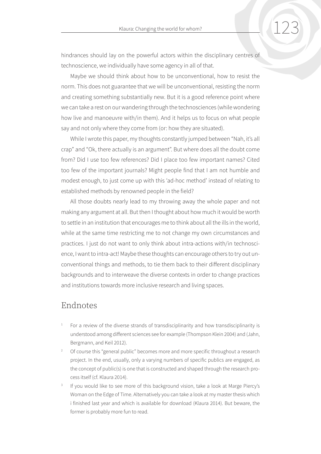hindrances should lay on the powerful actors within the disciplinary centres of technoscience, we individually have some agency in all of that.

Maybe we should think about how to be unconventional, how to resist the norm. This does not guarantee that we will be unconventional, resisting the norm and creating something substantially new. But it is a good reference point where we can take a rest on our wandering through the technosciences (while wondering how live and manoeuvre with/in them). And it helps us to focus on what people say and not only where they come from (or: how they are situated).

While I wrote this paper, my thoughts constantly jumped between "Nah, it's all crap" and "Ok, there actually is an argument". But where does all the doubt come from? Did I use too few references? Did I place too few important names? Cited too few of the important journals? Might people find that I am not humble and modest enough, to just come up with this 'ad-hoc method' instead of relating to established methods by renowned people in the field?

All those doubts nearly lead to my throwing away the whole paper and not making any argument at all. But then I thought about how much it would be worth to settle in an institution that encourages me to think about all the ills in the world, while at the same time restricting me to not change my own circumstances and practices. I just do not want to only think about intra-actions with/in technoscience, I want to intra-act! Maybe these thoughts can encourage others to try out unconventional things and methods, to tie them back to their different disciplinary backgrounds and to interweave the diverse contexts in order to change practices and institutions towards more inclusive research and living spaces.

## Endnotes

- For a review of the diverse strands of transdisciplinarity and how transdisciplinarity is understood among different sciences see for example (Thompson Klein 2004) and (Jahn, Bergmann, and Keil 2012).
- <sup>2</sup> Of course this "general public" becomes more and more specific throughout a research project. In the end, usually, only a varying numbers of specific publics are engaged, as the concept of public(s) is one that is constructed and shaped through the research process itself (cf. Klaura 2014).
- If you would like to see more of this background vision, take a look at Marge Piercy's Woman on the Edge of Time. Alternatively you can take a look at my master thesis which i finished last year and which is available for download (Klaura 2014). But beware, the former is probably more fun to read.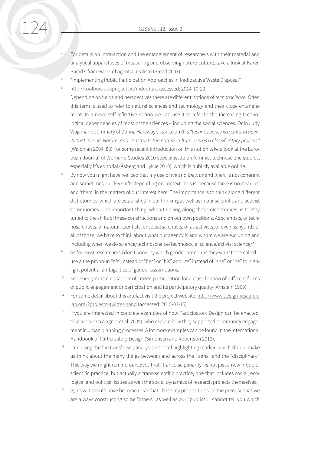- <sup>4</sup> For details on intra-action and the entanglement of researchers with their material and analytical apparatuses of measuring and observing nature-culture, take a look at Karen Barad's framework of agential realism (Barad 2007).
- <sup>5</sup> "Implementing Public Participation Approaches in Radioactive Waste Disposal"
- <sup>6</sup> <http://toolbox.ippaproject.eu/index> (last accessed: 2014-10-20)
- <sup>7</sup> Depending on fields and perspectives there are different notions of *technoscience*. Often this term is used to refer to natural sciences and technology and their close entanglement. In a more self-reflective notion we can use it to refer to the increasing technological dependencies of most of the sciences – including the social sciences. Or in Judy Wajcman's summary of Donna Haraway's stance on this *"technoscience is a cultural activity that invents Nature, and constructs the nature-culture axis as a classificatory process."* (Wajcman 2004, 88) For some recent introduction on this notion take a look at the European Journal of Women's Studies 2010 special issue on feminist technosciene studies, especially it's editorial (Åsberg and Lykke 2010), which is publicly available online.
- <sup>8</sup> By now you might have realized that my use of *we* and *they*, *us* and *them*, is not coherent and sometimes quickly shifts depending on context. This is, because there is no clear 'us' and 'them' in the matters of our interest here. The importance is to think along different dichotomies, which are established in our thinking as well as in our scientific and activist communities. The important thing, when thinking along those dichotomies, is to stay tuned to the shifts of these constructions and on our own positions. As scientists, or technoscientists, or natural scientists, or social scientists, or as activists, or even as hybrids of all of those, we have to think about what our agency is and whom we are excluding and including when we do science/technoscience/technosocial science/activist science/\*.
- As for most researchers I don't know by which gender pronouns they want to be called, I use a the pronoun "*hir*" instead of "her" or "his" and "*ze*" instead of "she" or "he" to highlight potential ambiguities of gender assumptions.
- <sup>10</sup> See Sherry Arnstein's ladder of citizen participation for a classification of different forms of public engagement or participation and its participatory quality (Arnstein 1969).
- <sup>11</sup> For some detail about this artefact visit the project website: [http://www.design-research](http://www.design-research-lab.org/?projects=twitter-hand)[lab.org/?projects=twitter-hand](http://www.design-research-lab.org/?projects=twitter-hand) (accessed: 2015-03-15)
- $12$  If you are interested in concrete examples of how Participatory Design can be enacted, take a look at (Wagner et al. 2009), who explain how they supported community engagement in urban planning processes. A lot more examples can be found in the International Handbook of Participatory Design (Simonsen and Robertson 2013).
- $13$  I am using the  $*$  in trans $*$ disciplinary as a sort of highlighting marker, which should make us think about the many things between and across the "trans" and the "disciplinary". This way we might remind ourselves that "transdisciplinarity" is not just a new mode of scientific practice, but actually a trans-scientific practice, one that includes social, ecological and political issues as well the social dynamics of research projects themselves.
- $14$  By now it should have become clear that I base my propositions on the premise that we are always constructing some "others" as well as our "publics". I cannot tell you which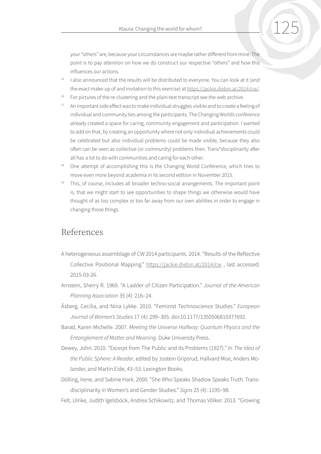your "others" are, because your circumstances are maybe rather different from mine. The point is to pay attention on how we do construct our respective "others" and how this influences our actions.

- $15$  I also announced that the results will be distributed to everyone. You can look at it (and the exact make-up of and invitation to this exercise) at [https://jackie.diebin.at/2014/cw/.](https://jackie.diebin.at/2014/cw/)
- <sup>16</sup> For pictures of the re-clustering and the plain-text transcript see the web archive.
- <sup>17</sup> An important side effect was to make individual struggles visible and to create a feeling of individual and community ties among the participants. The Changing Worlds conference already created a space for caring, community engagement and participation. I wanted to add on that, by creating an opportunity where not only individual achievements could be celebrated but also individual problems could be made visible, because they also often can be seen as collective (or community) problems then. Trans\*disciplinarity after all has a lot to do with communities and caring for each other.
- <sup>18</sup> One attempt of accomplishing this is the Changing World Conference, which tries to move even more beyond academia in its second edition in November 2015.
- <sup>19</sup> This, of course, includes all broader techno-social arrangements. The important point is, that we might start to see opportunities to shape things we otherwise would have thought of as too complex or too far away from our own abilities in order to engage in changing those things.

## References

- A heterogeneous assemblage of CW 2014 participants. 2014. "Results of the Reflective Collective Positional Mapping." <https://jackie.diebin.at/2014/cw>, last accessed: 2015-03-26.
- Arnstein, Sherry R. 1969. "A Ladder of Citizen Participation." *Journal of the American Planning Association* 35 (4): 216–24.
- Åsberg, Cecilia, and Nina Lykke. 2010. "Feminist Technoscience Studies." *European Journal of Women's Studies* 17 (4): 299–305. doi:10.1177/1350506810377692.
- Barad, Karen Michelle. 2007. *Meeting the Universe Halfway: Quantum Physics and the Entanglement of Matter and Meaning*. Duke University Press.
- Dewey, John. 2010. "Excerpt from The Public and Its Problems (1927)." In *The Idea of the Public Sphere: A Reader*, edited by Jostein Gripsrud, Hallvard Moe, Anders Molander, and Martin Eide, 43–53. Lexington Books.
- Dölling, Irene, and Sabine Hark. 2000. "She Who Speaks Shadow Speaks Truth: Transdisciplinarity in Women's and Gender Studies." *Signs* 25 (4): 1195–98.
- Felt, Ulrike, Judith Igelsböck, Andrea Schikowitz, and Thomas Völker. 2013. "Growing